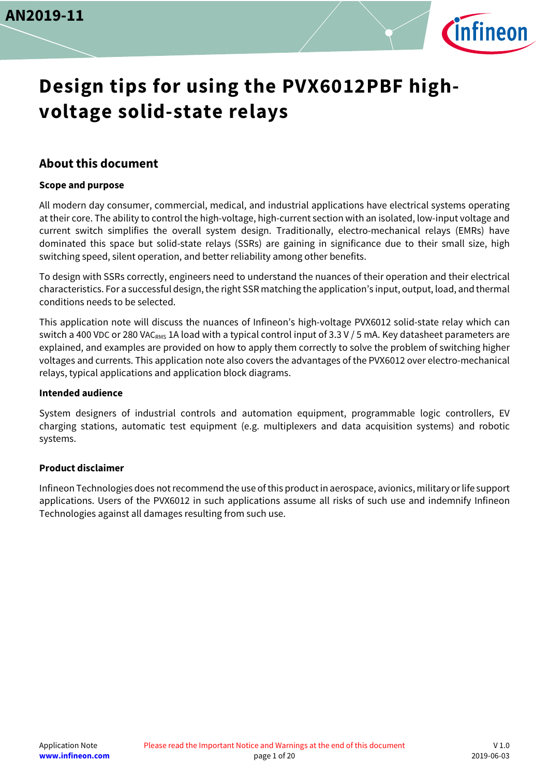

# **Design tips for using the PVX6012PBF highvoltage solid-state relays**

### <span id="page-0-0"></span>**About this document**

#### **Scope and purpose**

All modern day consumer, commercial, medical, and industrial applications have electrical systems operating at their core. The ability to control the high-voltage, high-current section with an isolated, low-input voltage and current switch simplifies the overall system design. Traditionally, electro-mechanical relays (EMRs) have dominated this space but solid-state relays (SSRs) are gaining in significance due to their small size, high switching speed, silent operation, and better reliability among other benefits.

To design with SSRs correctly, engineers need to understand the nuances of their operation and their electrical characteristics. For a successful design, the right SSR matching the application's input, output, load, and thermal conditions needs to be selected.

This application note will discuss the nuances of Infineon's high-voltage PVX6012 solid-state relay which can switch a 400 VDC or 280 VACRMS 1A load with a typical control input of 3.3 V / 5 mA. Key datasheet parameters are explained, and examples are provided on how to apply them correctly to solve the problem of switching higher voltages and currents. This application note also covers the advantages of the PVX6012 over electro-mechanical relays, typical applications and application block diagrams.

#### **Intended audience**

System designers of industrial controls and automation equipment, programmable logic controllers, EV charging stations, automatic test equipment (e.g. multiplexers and data acquisition systems) and robotic systems.

#### <span id="page-0-1"></span>**Product disclaimer**

Infineon Technologies does not recommend the use of this product in aerospace, avionics, military or life support applications. Users of the PVX6012 in such applications assume all risks of such use and indemnify Infineon Technologies against all damages resulting from such use.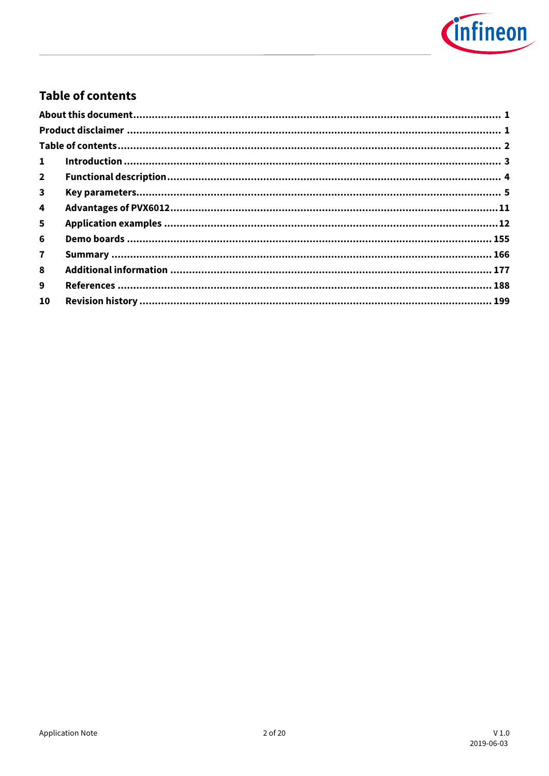

### <span id="page-1-0"></span>**Table of contents**

| $\mathbf{1}$ |  |
|--------------|--|
| $2^{\circ}$  |  |
| 3            |  |
| 4            |  |
| 5            |  |
| 6            |  |
| $\mathbf{7}$ |  |
| 8            |  |
| 9            |  |
| 10           |  |
|              |  |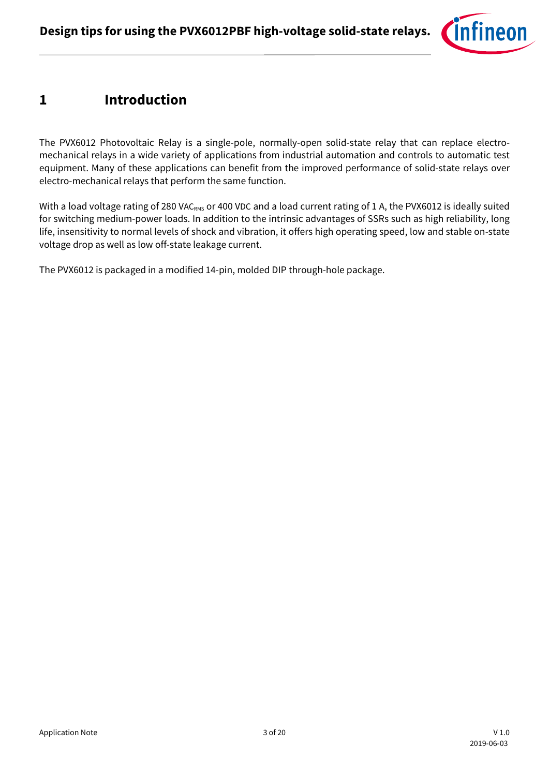

### <span id="page-2-0"></span>**1 Introduction**

The PVX6012 Photovoltaic Relay is a single-pole, normally-open solid-state relay that can replace electromechanical relays in a wide variety of applications from industrial automation and controls to automatic test equipment. Many of these applications can benefit from the improved performance of solid-state relays over electro-mechanical relays that perform the same function.

With a load voltage rating of 280 VACRMS or 400 VDC and a load current rating of 1 A, the PVX6012 is ideally suited for switching medium-power loads. In addition to the intrinsic advantages of SSRs such as high reliability, long life, insensitivity to normal levels of shock and vibration, it offers high operating speed, low and stable on-state voltage drop as well as low off-state leakage current.

The PVX6012 is packaged in a modified 14-pin, molded DIP through-hole package.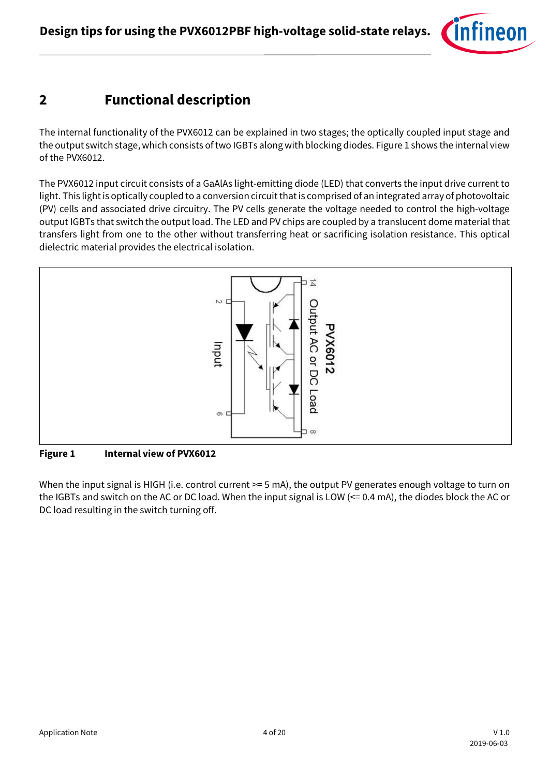

### <span id="page-3-0"></span>**2 Functional description**

The internal functionality of the PVX6012 can be explained in two stages; the optically coupled input stage and the output switch stage, which consists of two IGBTs along with blocking diodes. Figure 1 shows the internal view of the PVX6012.

The PVX6012 input circuit consists of a GaAlAs light-emitting diode (LED) that converts the input drive current to light. This light is optically coupled to a conversion circuit that is comprised of an integrated array of photovoltaic (PV) cells and associated drive circuitry. The PV cells generate the voltage needed to control the high-voltage output IGBTs that switch the output load. The LED and PV chips are coupled by a translucent dome material that transfers light from one to the other without transferring heat or sacrificing isolation resistance. This optical dielectric material provides the electrical isolation.



**Figure 1 Internal view of PVX6012**

When the input signal is HIGH (i.e. control current > = 5 mA), the output PV generates enough voltage to turn on the IGBTs and switch on the AC or DC load. When the input signal is LOW (<= 0.4 mA), the diodes block the AC or DC load resulting in the switch turning off.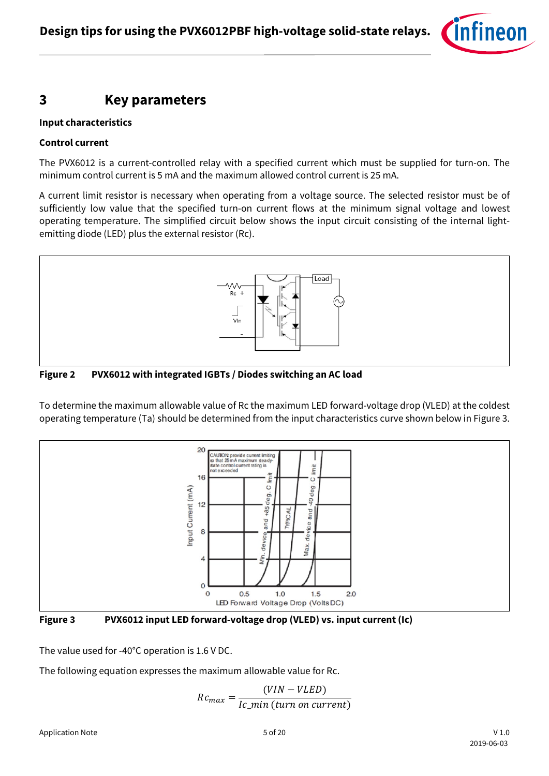

### <span id="page-4-0"></span>**3 Key parameters**

#### **Input characteristics**

#### **Control current**

The PVX6012 is a current-controlled relay with a specified current which must be supplied for turn-on. The minimum control current is 5 mA and the maximum allowed control current is 25 mA.

A current limit resistor is necessary when operating from a voltage source. The selected resistor must be of sufficiently low value that the specified turn-on current flows at the minimum signal voltage and lowest operating temperature. The simplified circuit below shows the input circuit consisting of the internal lightemitting diode (LED) plus the external resistor (Rc).



**Figure 2 PVX6012 with integrated IGBTs / Diodes switching an AC load**

To determine the maximum allowable value of Rc the maximum LED forward-voltage drop (VLED) at the coldest operating temperature (Ta) should be determined from the input characteristics curve shown below in Figure 3.





The value used for -40°C operation is 1.6 V DC.

The following equation expresses the maximum allowable value for Rc.

$$
Rc_{max} = \frac{(VIN - VLED)}{Ic\_min \text{ (turn on current)}}
$$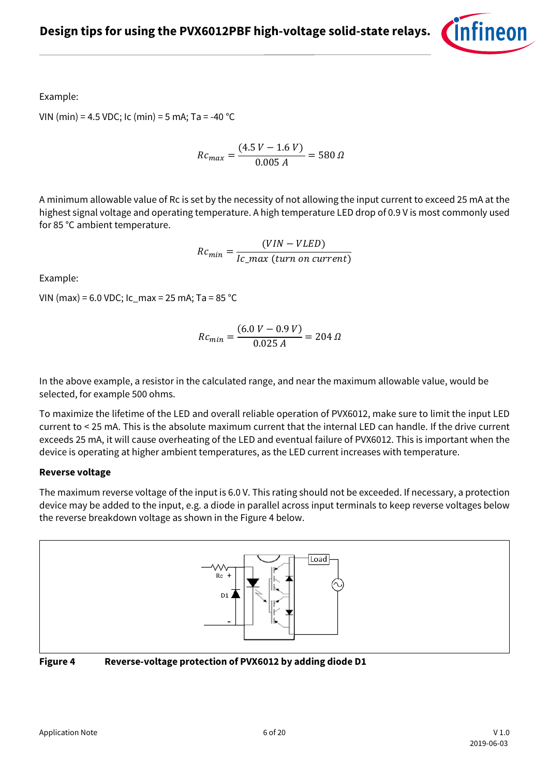

Example:

VIN (min) = 4.5 VDC; Ic (min) = 5 mA; Ta = -40 °C

 $Rc_{max} = \frac{(4.5 V - 1.6 V)}{0.005 A} = 580 \Omega$ 

A minimum allowable value of Rc is set by the necessity of not allowing the input current to exceed 25 mA at the highest signal voltage and operating temperature. A high temperature LED drop of 0.9 V is most commonly used for 85 °C ambient temperature.

 $Rc_{min} = \frac{(VIN - VLED)}{Ic\_max \ (turn \ on \ current)}$ 

Example:

VIN (max) = 6.0 VDC; Ic\_max = 25 mA; Ta = 85 °C

$$
Rc_{min} = \frac{(6.0 V - 0.9 V)}{0.025 A} = 204 \Omega
$$

In the above example, a resistor in the calculated range, and near the maximum allowable value, would be selected, for example 500 ohms.

To maximize the lifetime of the LED and overall reliable operation of PVX6012, make sure to limit the input LED current to < 25 mA. This is the absolute maximum current that the internal LED can handle. If the drive current exceeds 25 mA, it will cause overheating of the LED and eventual failure of PVX6012. This is important when the device is operating at higher ambient temperatures, as the LED current increases with temperature.

#### **Reverse voltage**

The maximum reverse voltage of the input is 6.0 V. This rating should not be exceeded. If necessary, a protection device may be added to the input, e.g. a diode in parallel across input terminals to keep reverse voltages below the reverse breakdown voltage as shown in the Figure 4 below.



**Figure 4 Reverse-voltage protection of PVX6012 by adding diode D1**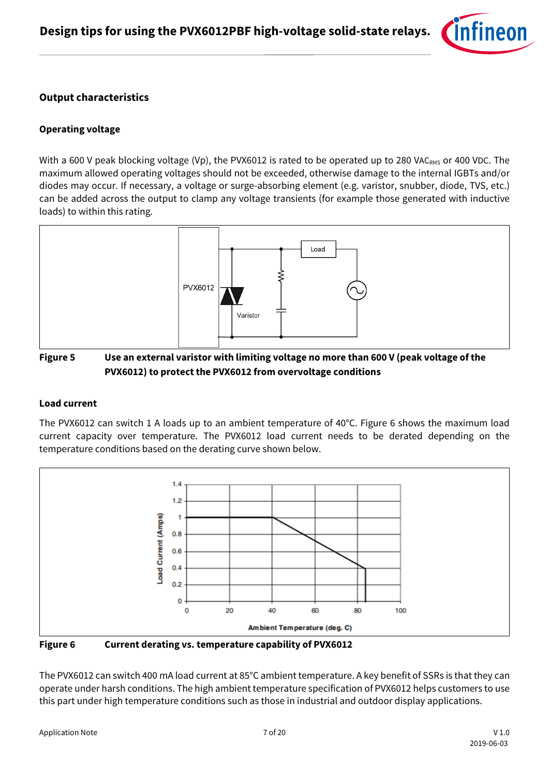

### **Output characteristics**

#### **Operating voltage**

With a 600 V peak blocking voltage (Vp), the PVX6012 is rated to be operated up to 280 VAC<sub>RMS</sub> or 400 VDC. The maximum allowed operating voltages should not be exceeded, otherwise damage to the internal IGBTs and/or diodes may occur. If necessary, a voltage or surge-absorbing element (e.g. varistor, snubber, diode, TVS, etc.) can be added across the output to clamp any voltage transients (for example those generated with inductive loads) to within this rating.



### **Figure 5 Use an external varistor with limiting voltage no more than 600 V (peak voltage of the PVX6012) to protect the PVX6012 from overvoltage conditions**

#### **Load current**

The PVX6012 can switch 1 A loads up to an ambient temperature of 40°C. Figure 6 shows the maximum load current capacity over temperature. The PVX6012 load current needs to be derated depending on the temperature conditions based on the derating curve shown below.



**Figure 6 Current derating vs. temperature capability of PVX6012**

The PVX6012 can switch 400 mA load current at 85°C ambient temperature. A key benefit of SSRs is that they can operate under harsh conditions. The high ambient temperature specification of PVX6012 helps customers to use this part under high temperature conditions such as those in industrial and outdoor display applications.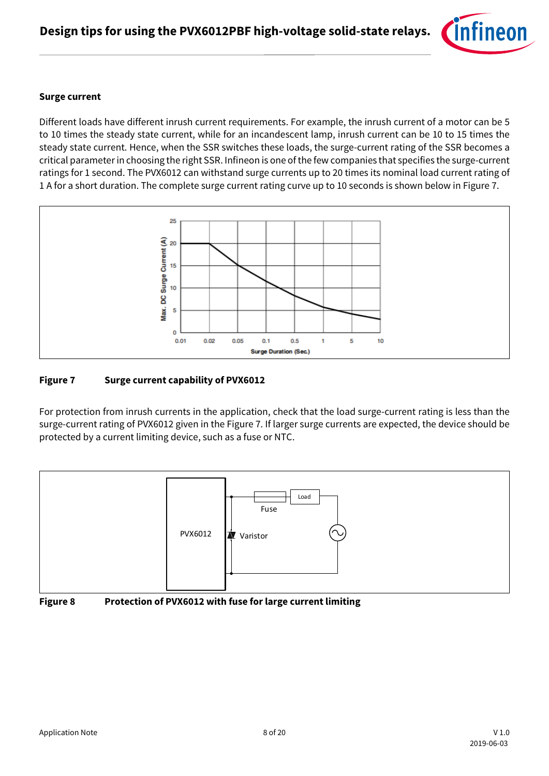

#### **Surge current**

Different loads have different inrush current requirements. For example, the inrush current of a motor can be 5 to 10 times the steady state current, while for an incandescent lamp, inrush current can be 10 to 15 times the steady state current. Hence, when the SSR switches these loads, the surge-current rating of the SSR becomes a critical parameter in choosing the right SSR. Infineon is one of the few companies that specifies the surge-current ratings for 1 second. The PVX6012 can withstand surge currents up to 20 times its nominal load current rating of 1 A for a short duration. The complete surge current rating curve up to 10 seconds is shown below in Figure 7.



#### **Figure 7 Surge current capability of PVX6012**

For protection from inrush currents in the application, check that the load surge-current rating is less than the surge-current rating of PVX6012 given in the Figure 7. If larger surge currents are expected, the device should be protected by a current limiting device, such as a fuse or NTC.



**Figure 8 Protection of PVX6012 with fuse for large current limiting**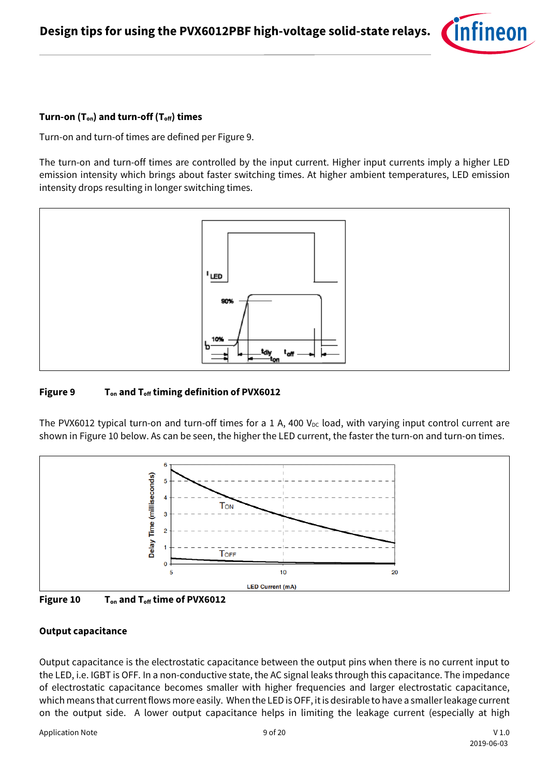

#### **Turn-on (Ton) and turn-off (Toff) times**

Turn-on and turn-of times are defined per Figure 9.

The turn-on and turn-off times are controlled by the input current. Higher input currents imply a higher LED emission intensity which brings about faster switching times. At higher ambient temperatures, LED emission intensity drops resulting in longer switching times.



#### **Figure 9 Ton and Toff timing definition of PVX6012**

The PVX6012 typical turn-on and turn-off times for a 1 A, 400  $V_{DC}$  load, with varying input control current are shown in Figure 10 below. As can be seen, the higher the LED current, the faster the turn-on and turn-on times.





#### **Output capacitance**

Output capacitance is the electrostatic capacitance between the output pins when there is no current input to the LED, i.e. IGBT is OFF. In a non-conductive state, the AC signal leaks through this capacitance. The impedance of electrostatic capacitance becomes smaller with higher frequencies and larger electrostatic capacitance, which means that current flows more easily. When the LED is OFF, it is desirable to have a smaller leakage current on the output side. A lower output capacitance helps in limiting the leakage current (especially at high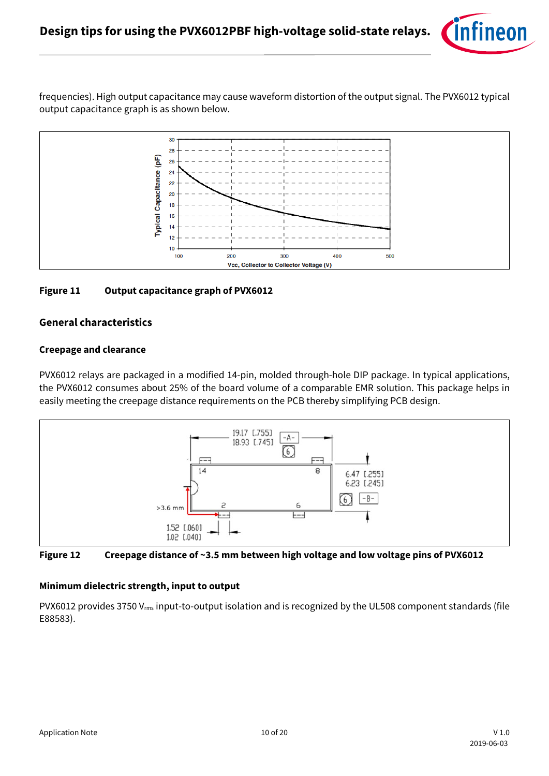

frequencies). High output capacitance may cause waveform distortion of the output signal. The PVX6012 typical output capacitance graph is as shown below.



#### **Figure 11 Output capacitance graph of PVX6012**

#### **General characteristics**

#### **Creepage and clearance**

PVX6012 relays are packaged in a modified 14-pin, molded through-hole DIP package. In typical applications, the PVX6012 consumes about 25% of the board volume of a comparable EMR solution. This package helps in easily meeting the creepage distance requirements on the PCB thereby simplifying PCB design.



**Figure 12 Creepage distance of ~3.5 mm between high voltage and low voltage pins of PVX6012**

#### **Minimum dielectric strength, input to output**

PVX6012 provides 3750 V<sub>rms</sub> input-to-output isolation and is recognized by the UL508 component standards (file E88583).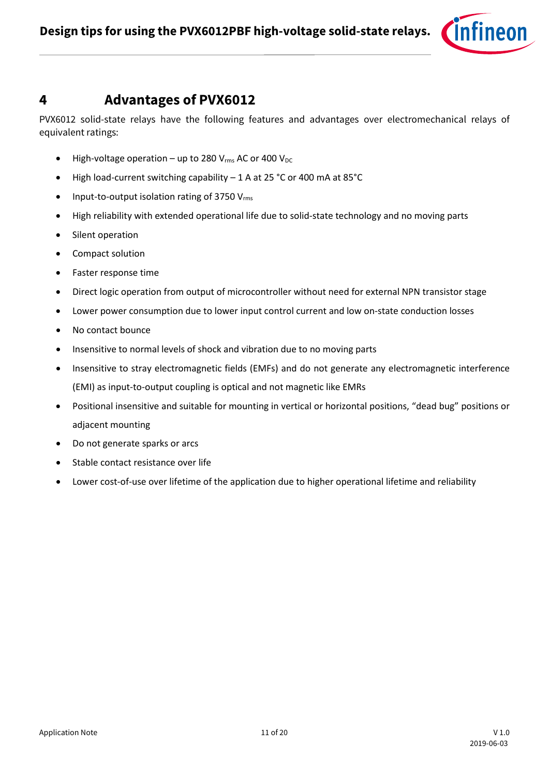

### <span id="page-10-0"></span>**4 Advantages of PVX6012**

PVX6012 solid-state relays have the following features and advantages over electromechanical relays of equivalent ratings:

- High-voltage operation up to 280  $V_{rms}$  AC or 400  $V_{DC}$
- High load-current switching capability 1 A at 25 °C or 400 mA at 85°C
- Input-to-output isolation rating of 3750  $V_{rms}$
- High reliability with extended operational life due to solid-state technology and no moving parts
- Silent operation
- Compact solution
- Faster response time
- Direct logic operation from output of microcontroller without need for external NPN transistor stage
- Lower power consumption due to lower input control current and low on-state conduction losses
- No contact bounce
- Insensitive to normal levels of shock and vibration due to no moving parts
- Insensitive to stray electromagnetic fields (EMFs) and do not generate any electromagnetic interference (EMI) as input-to-output coupling is optical and not magnetic like EMRs
- Positional insensitive and suitable for mounting in vertical or horizontal positions, "dead bug" positions or adjacent mounting
- Do not generate sparks or arcs
- Stable contact resistance over life
- Lower cost-of-use over lifetime of the application due to higher operational lifetime and reliability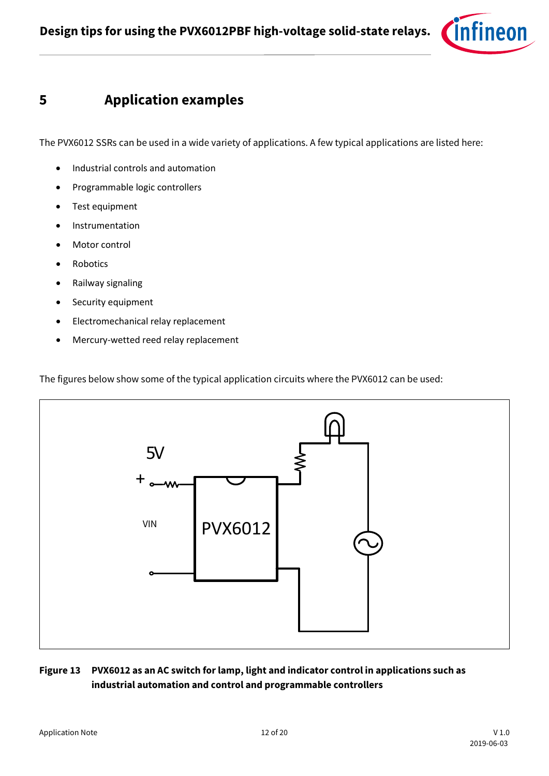

## <span id="page-11-0"></span>**5 Application examples**

The PVX6012 SSRs can be used in a wide variety of applications. A few typical applications are listed here:

- Industrial controls and automation
- Programmable logic controllers
- Test equipment
- Instrumentation
- Motor control
- Robotics
- Railway signaling
- Security equipment
- Electromechanical relay replacement
- Mercury-wetted reed relay replacement

The figures below show some of the typical application circuits where the PVX6012 can be used:



### **Figure 13 PVX6012 as an AC switch for lamp, light and indicator control in applications such as industrial automation and control and programmable controllers**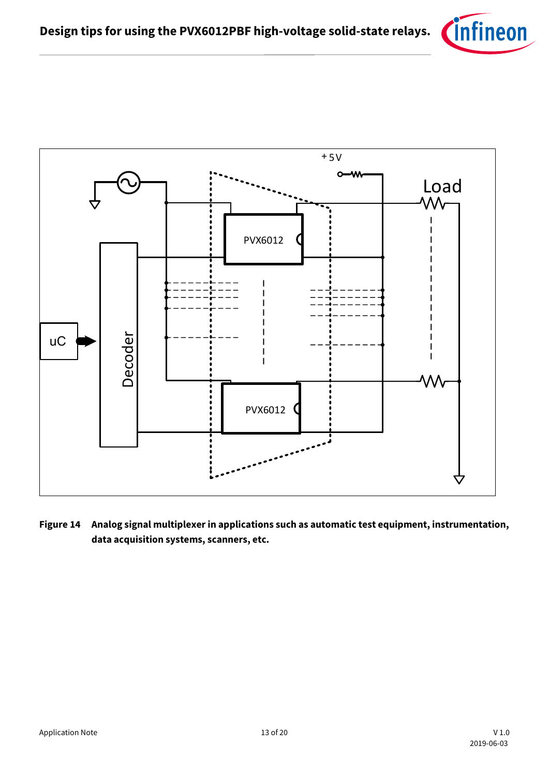



**Figure 14 Analog signal multiplexerin applications such as automatic test equipment, instrumentation, data acquisition systems, scanners, etc.**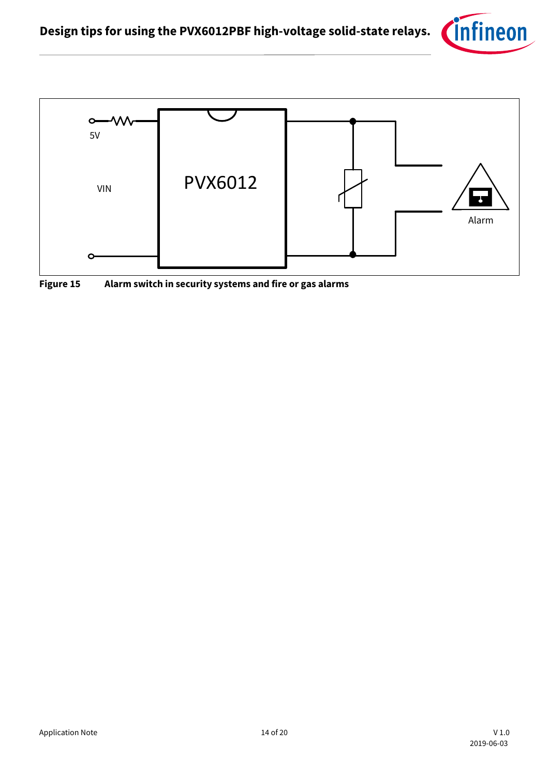



**Figure 15 Alarm switch in security systems and fire or gas alarms**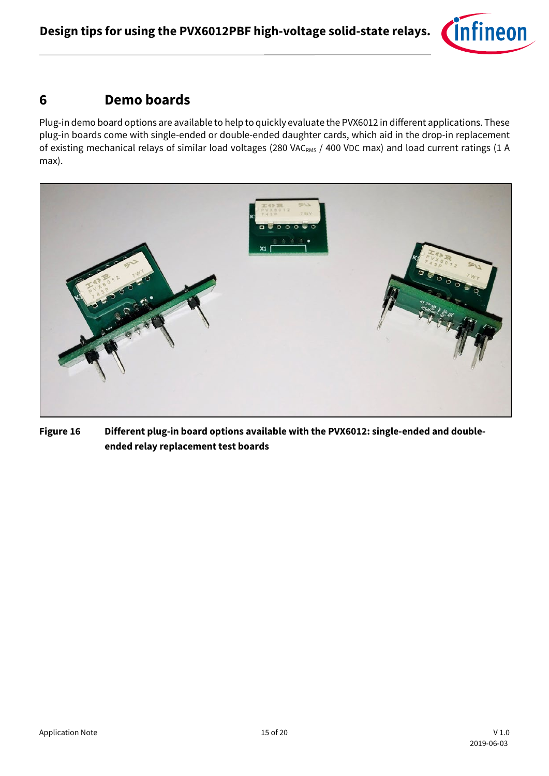

## <span id="page-14-0"></span>**6 Demo boards**

Plug-in demo board options are available to help to quickly evaluate the PVX6012 in different applications. These plug-in boards come with single-ended or double-ended daughter cards, which aid in the drop-in replacement of existing mechanical relays of similar load voltages (280 VACRMS / 400 VDC max) and load current ratings (1 A max).



**Figure 16 Different plug-in board options available with the PVX6012: single-ended and doubleended relay replacement test boards**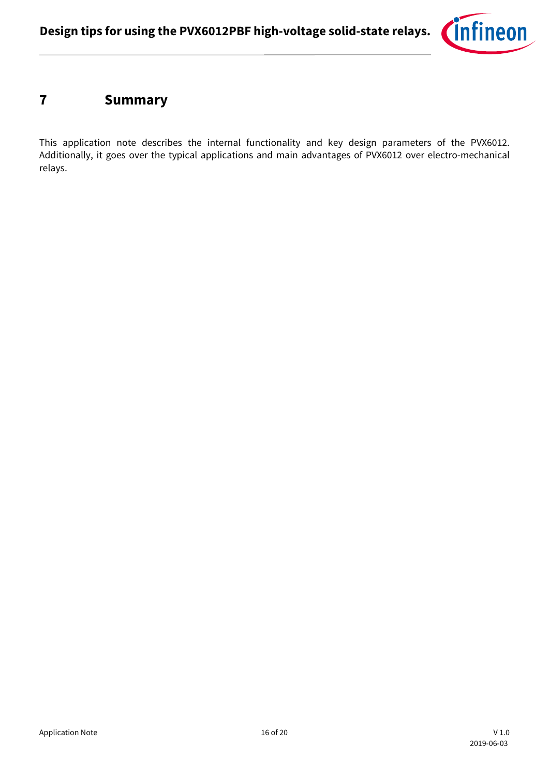

## <span id="page-15-0"></span>**7 Summary**

This application note describes the internal functionality and key design parameters of the PVX6012. Additionally, it goes over the typical applications and main advantages of PVX6012 over electro-mechanical relays.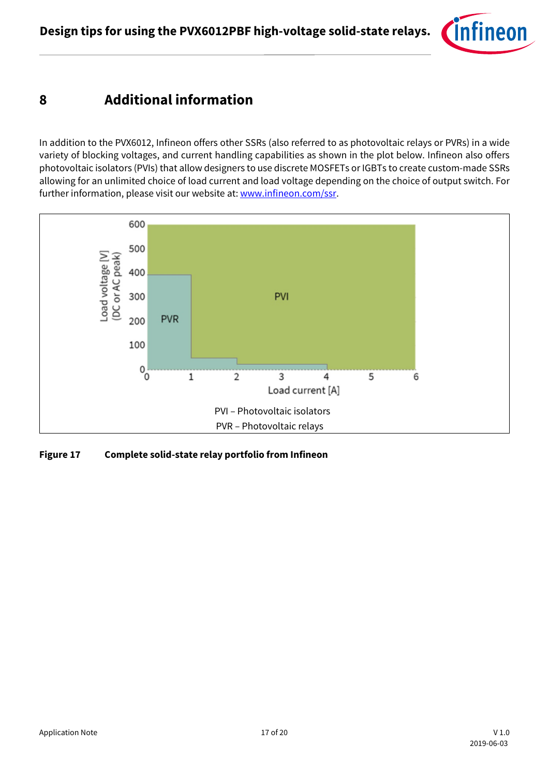

## <span id="page-16-0"></span>**8 Additional information**

In addition to the PVX6012, Infineon offers other SSRs (also referred to as photovoltaic relays or PVRs) in a wide variety of blocking voltages, and current handling capabilities as shown in the plot below. Infineon also offers photovoltaic isolators (PVIs) that allow designers to use discrete MOSFETs or IGBTs to create custom-made SSRs allowing for an unlimited choice of load current and load voltage depending on the choice of output switch. For further information, please visit our website at[: www.infineon.com/ssr.](http://www.infineon.com/ssr)



**Figure 17 Complete solid-state relay portfolio from Infineon**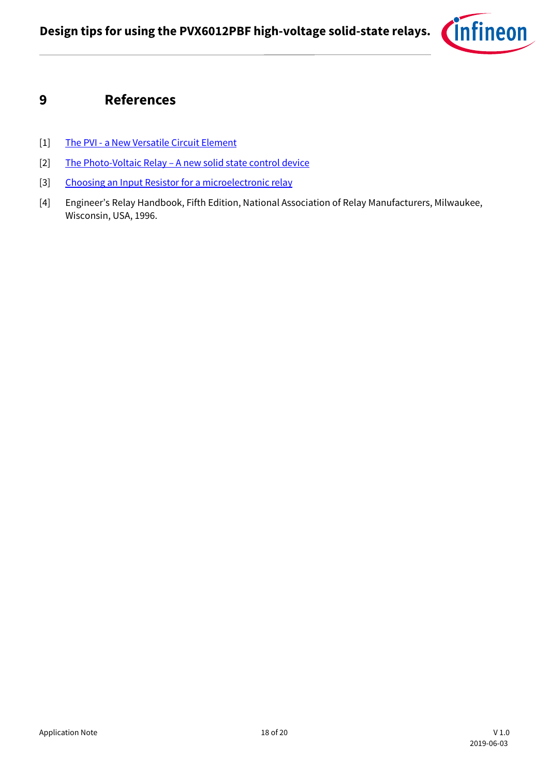

### <span id="page-17-0"></span>**9 References**

- [1] The PVI [a New Versatile Circuit Element](https://www.infineon.com/dgdl/Infineon-The_PVI_A_Versatile_Circuit_Element_AN1017-AN-v01_00-EN.pdf?fileId=5546d462533600a401535590ed370f60)
- [2] The Photo-Voltaic Relay [A new solid state control device](https://www.infineon.com/dgdl/Infineon-The_Photovoltaic_Relay_AN104-AN-v01_00-EN.pdf?fileId=5546d462533600a4015355917b240f89)
- [3] [Choosing an Input Resistor for a microelectronic relay](https://www.infineon.com/dgdl/Infineon-AN-101_Choosing_an_input_resistor_for_a_Microelectronic_Relay-AN-v01_00-EN.pdf?fileId=5546d462689a790c0168fea2c6814cdd)
- [4] Engineer's Relay Handbook, Fifth Edition, National Association of Relay Manufacturers, Milwaukee, Wisconsin, USA, 1996.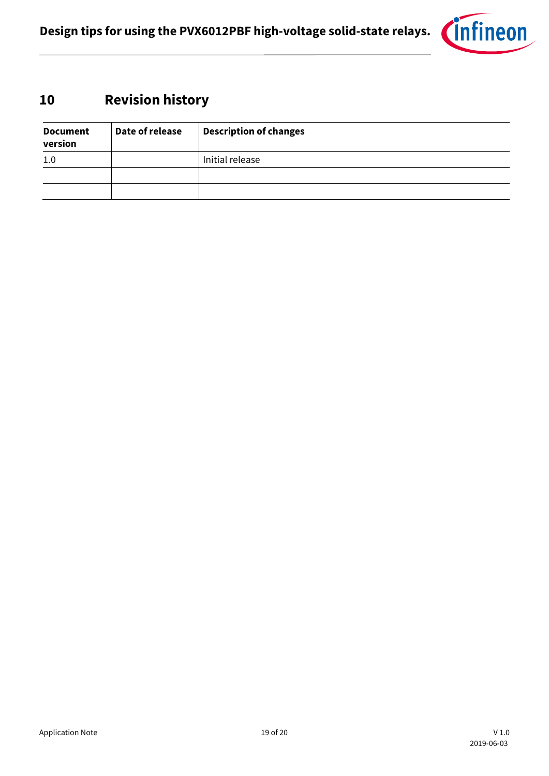

## <span id="page-18-0"></span>**10 Revision history**

| <b>Document</b><br>version | Date of release | <b>Description of changes</b> |
|----------------------------|-----------------|-------------------------------|
| 1.0                        |                 | Initial release               |
|                            |                 |                               |
|                            |                 |                               |